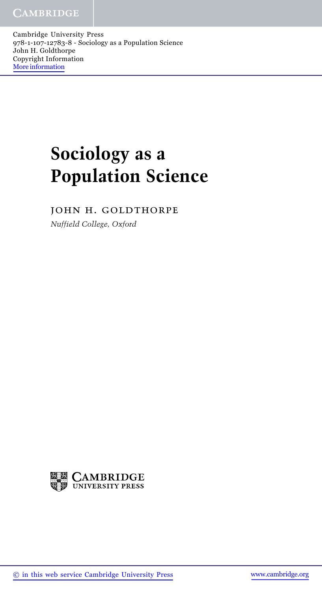Cambridge University Press 978-1-107-12783-8 - Sociology as a Population Science John H. Goldthorpe Copyright Information More information

## **Sociology as a Population Science**

john h. goldthorpe

*Nuffield College, Oxford*